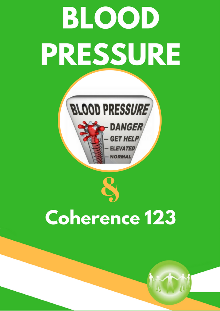# **BLOOD** PRESSURE



# **Coherence 123**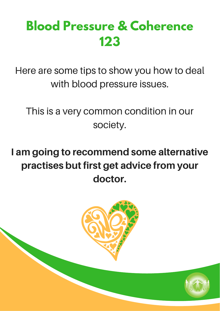## **Blood Pressure & Coherence 123**

Here are some tips to show you how to deal with blood pressure issues.

This is a very common condition in our society.

I am going to recommend some alternative practises but first get advice from your doctor.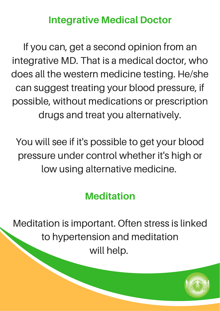#### Integrative Medical Doctor

If you can, get a second opinion from an integrative MD. That is a medical doctor, who does all the western medicine testing. He/she can suggest treating your blood pressure, if possible, without medications or prescription drugs and treat you alternatively.

You will see if it's possible to get your blood pressure under control whether it's high or low using alternative medicine.

#### **Meditation**

Meditation is important. Often stress is linked to hypertension and meditation will help.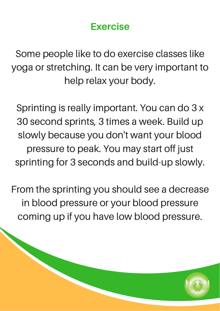#### Exercise

Some people like to do exercise classes like yoga or stretching. It can be very important to help relax your body.

Sprinting is really important. You can do 3 x 30 second sprints, 3 times a week. Build up slowly because you don't want your blood pressure to peak. You may start off just sprinting for 3 seconds and build-up slowly.

From the sprinting you should see a decrease in blood pressure or your blood pressure coming up if you have low blood pressure.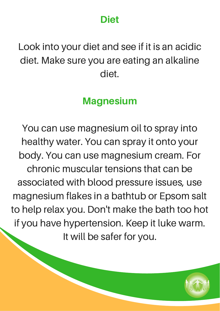#### Diet

### Look into your diet and see if it is an acidic diet. Make sure you are eating an alkaline diet.

#### **Magnesium**

You can use magnesium oil to spray into healthy water. You can spray it onto your body. You can use magnesium cream. For chronic muscular tensions that can be associated with blood pressure issues, use magnesium flakes in a bathtub or Epsom salt to help relax you. Don't make the bath too hot if you have hypertension. Keep it luke warm. It will be safer for you.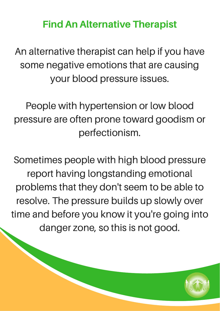#### Find An Alternative Therapist

An alternative therapist can help if you have some negative emotions that are causing your blood pressure issues.

People with hypertension or low blood pressure are often prone toward goodism or perfectionism.

Sometimes people with high blood pressure report having longstanding emotional problems that they don't seem to be able to resolve. The pressure builds up slowly over time and before you know it you're going into danger zone, so this is not good.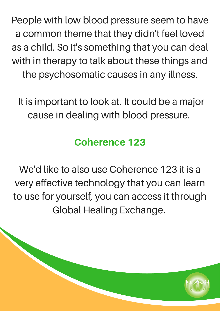People with low blood pressure seem to have a common theme that they didn't feel loved as a child. So it's something that you can deal with in therapy to talk about these things and the psychosomatic causes in any illness.

It is important to look at. It could be a major cause in dealing with blood pressure.

### Coherence 123

We'd like to also use Coherence 123 it is a very effective technology that you can learn to use for yourself, you can access it through Global Healing Exchange.